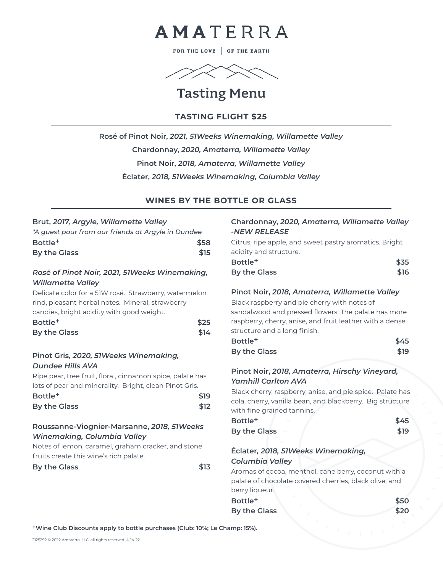

FOR THE LOVE | OF THE EARTH



# Tasting Menu

## **TASTING FLIGHT \$25**

**Rosé of Pinot Noir,** *2021, 51Weeks Winemaking, Willamette Valley* **Chardonnay,** *2020, Amaterra, Willamette Valley* **Pinot Noir,** *2018, Amaterra, Willamette Valley* **Éclater,** *2018, 51Weeks Winemaking, Columbia Valley*

## **WINES BY THE BOTTLE OR GLASS**

#### **Brut,** *2017, Argyle, Willamette Valley*

| *A quest pour from our friends at Argyle in Dundee |      |
|----------------------------------------------------|------|
| Bottle <sup>+</sup>                                | \$58 |
| By the Glass                                       | \$15 |

### *Rosé of Pinot Noir, 2021, 51Weeks Winemaking, Willamette Valley*

Delicate color for a 51W rosé. Strawberry, watermelon rind, pleasant herbal notes. Mineral, strawberry candies, bright acidity with good weight.

| Bottle <sup>+</sup> | \$25 |
|---------------------|------|
| By the Glass        | \$14 |

## **Pinot Gris,** *2020, 51Weeks Winemaking, Dundee Hills AVA*

Ripe pear, tree fruit, floral, cinnamon spice, palate has lots of pear and minerality. Bright, clean Pinot Gris. **Bottle+ \$19 By the Glass \$12** 

## **Roussanne-Viognier-Marsanne,** *2018, 51Weeks Winemaking, Columbia Valley*

Notes of lemon, caramel, graham cracker, and stone fruits create this wine's rich palate.

**By the Glass \$13** 

#### **Chardonnay,** *2020, Amaterra, Willamette Valley -NEW RELEASE*

Citrus, ripe apple, and sweet pastry aromatics. Bright acidity and structure.

| Bottle <sup>+</sup> | \$35 |
|---------------------|------|
| By the Glass        | \$16 |

#### **Pinot Noir,** *2018, Amaterra, Willamette Valley*

Black raspberry and pie cherry with notes of sandalwood and pressed flowers. The palate has more raspberry, cherry, anise, and fruit leather with a dense structure and a long finish.

| Bottle <sup>+</sup> | \$45 |
|---------------------|------|
| By the Glass        | \$19 |

### **Pinot Noir,** *2018, Amaterra, Hirschy Vineyard, Yamhill Carlton AVA*

Black cherry, raspberry, anise, and pie spice. Palate has cola, cherry, vanilla bean, and blackberry. Big structure with fine grained tannins.

| Bottle <sup>+</sup> | \$45 |
|---------------------|------|
| <b>By the Glass</b> | \$19 |

## **Éclater***, 2018, 51Weeks Winemaking, Columbia Valley*

Aromas of cocoa, menthol, cane berry, coconut with a palate of chocolate covered cherries, black olive, and berry liqueur.

**Bottle+ \$50 By the Glass \$20** 

**+Wine Club Discounts apply to bottle purchases (Club: 10%; Le Champ: 15%).**

2125292 © 2022 Amaterra, LLC, all rights reserved 4-14-22